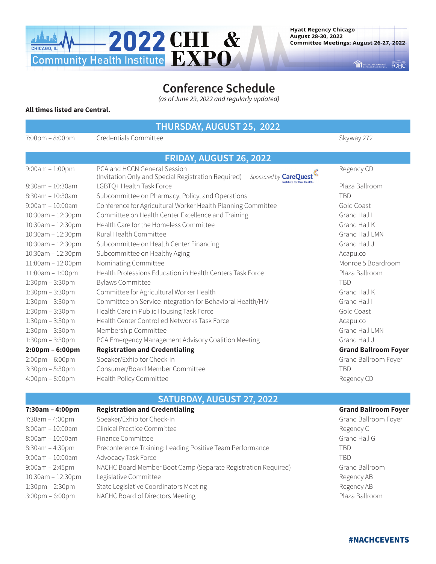

THE BATIONAL ASSOCIATION OF FOHC

# **Conference Schedule** *(as of June 29, 2022 and regularly updated)*

#### **All times listed are Central.**

**THURSDAY, AUGUST 25, 2022**

7:00pm – 8:00pm Credentials Committee Shapes Commercials Committee Skyway 272

| FRIDAY, AUGUST 26, 2022           |                                                                                                               |                             |  |  |
|-----------------------------------|---------------------------------------------------------------------------------------------------------------|-----------------------------|--|--|
| $9:00am - 1:00pm$                 | PCA and HCCN General Session<br>Sponsored by CareQuest<br>(Invitation Only and Special Registration Required) | Regency CD                  |  |  |
| 8:30am - 10:30am                  | stitute for Oral Health<br>LGBTQ+ Health Task Force                                                           | Plaza Ballroom              |  |  |
| $8:30am - 10:30am$                | Subcommittee on Pharmacy, Policy, and Operations                                                              | <b>TBD</b>                  |  |  |
| $9:00am - 10:00am$                | Conference for Agricultural Worker Health Planning Committee                                                  | Gold Coast                  |  |  |
| 10:30am - 12:30pm                 | Committee on Health Center Excellence and Training                                                            | Grand Hall I                |  |  |
| 10:30am - 12:30pm                 | Health Care for the Homeless Committee                                                                        | Grand Hall K                |  |  |
| 10:30am - 12:30pm                 | Rural Health Committee                                                                                        | Grand Hall LMN              |  |  |
| 10:30am - 12:30pm                 | Subcommittee on Health Center Financing                                                                       | Grand Hall J                |  |  |
| 10:30am - 12:30pm                 | Subcommittee on Healthy Aging                                                                                 | Acapulco                    |  |  |
| 11:00am - 12:00pm                 | Nominating Committee                                                                                          | Monroe 5 Boardroom          |  |  |
| $11:00am - 1:00pm$                | Health Professions Education in Health Centers Task Force                                                     | Plaza Ballroom              |  |  |
| $1:30$ pm – $3:30$ pm             | <b>Bylaws Committee</b>                                                                                       | <b>TBD</b>                  |  |  |
| $1:30$ pm – $3:30$ pm             | Committee for Agricultural Worker Health                                                                      | Grand Hall K                |  |  |
| $1:30$ pm – $3:30$ pm             | Committee on Service Integration for Behavioral Health/HIV                                                    | Grand Hall I                |  |  |
| $1:30$ pm – $3:30$ pm             | Health Care in Public Housing Task Force                                                                      | Gold Coast                  |  |  |
| $1:30$ pm – $3:30$ pm             | Health Center Controlled Networks Task Force                                                                  | Acapulco                    |  |  |
| $1:30$ pm – $3:30$ pm             | Membership Committee                                                                                          | Grand Hall LMN              |  |  |
| $1:30$ pm – $3:30$ pm             | PCA Emergency Management Advisory Coalition Meeting                                                           | Grand Hall J                |  |  |
| $2:00 \text{pm} - 6:00 \text{pm}$ | <b>Registration and Credentialing</b>                                                                         | <b>Grand Ballroom Foyer</b> |  |  |
| $2:00 \text{pm} - 6:00 \text{pm}$ | Speaker/Exhibitor Check-In                                                                                    | Grand Ballroom Foyer        |  |  |
| $3:30$ pm – 5:30pm                | Consumer/Board Member Committee                                                                               | <b>TBD</b>                  |  |  |
| $4:00 \text{pm} - 6:00 \text{pm}$ | Health Policy Committee                                                                                       | Regency CD                  |  |  |
|                                   |                                                                                                               |                             |  |  |

## **SATURDAY, AUGUST 27, 2022**

| $7:30am - 4:00pm$                 | <b>Registration and Credentialing</b>                         | <b>Grand Ballroom Foyer</b> |
|-----------------------------------|---------------------------------------------------------------|-----------------------------|
| 7:30am - 4:00pm                   | Speaker/Exhibitor Check-In                                    | Grand Ballroom Foyer        |
| $8:00am - 10:00am$                | Clinical Practice Committee                                   | Regency C                   |
| $8:00$ am - 10:00am               | Finance Committee                                             | Grand Hall G                |
| $8:30$ am – 4:30pm                | Preconference Training: Leading Positive Team Performance     | TBD                         |
| $9:00$ am - 10:00am               | Advocacy Task Force                                           | <b>TBD</b>                  |
| $9:00am - 2:45pm$                 | NACHC Board Member Boot Camp (Separate Registration Required) | Grand Ballroom              |
| 10:30am - 12:30pm                 | Legislative Committee                                         | Regency AB                  |
| $1:30 \text{pm} - 2:30 \text{pm}$ | State Legislative Coordinators Meeting                        | Regency AB                  |
| $3:00 \text{pm} - 6:00 \text{pm}$ | NACHC Board of Directors Meeting                              | Plaza Ballroom              |

## #NACHCEVENTS